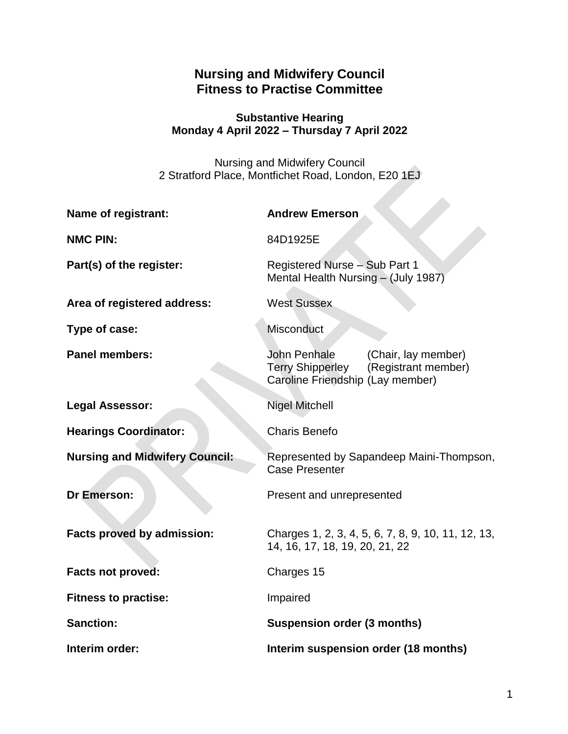# **Nursing and Midwifery Council Fitness to Practise Committee**

### **Substantive Hearing Monday 4 April 2022 – Thursday 7 April 2022**

Nursing and Midwifery Council 2 Stratford Place, Montfichet Road, London, E20 1EJ

| <b>Name of registrant:</b>            | <b>Andrew Emerson</b>                                                                                                     |
|---------------------------------------|---------------------------------------------------------------------------------------------------------------------------|
| <b>NMC PIN:</b>                       | 84D1925E                                                                                                                  |
| Part(s) of the register:              | Registered Nurse - Sub Part 1<br>Mental Health Nursing - (July 1987)                                                      |
| Area of registered address:           | <b>West Sussex</b>                                                                                                        |
| Type of case:                         | Misconduct                                                                                                                |
| <b>Panel members:</b>                 | John Penhale<br>(Chair, lay member)<br><b>Terry Shipperley</b><br>(Registrant member)<br>Caroline Friendship (Lay member) |
| <b>Legal Assessor:</b>                | <b>Nigel Mitchell</b>                                                                                                     |
| <b>Hearings Coordinator:</b>          | <b>Charis Benefo</b>                                                                                                      |
| <b>Nursing and Midwifery Council:</b> | Represented by Sapandeep Maini-Thompson,<br><b>Case Presenter</b>                                                         |
| <b>Dr Emerson:</b>                    | Present and unrepresented                                                                                                 |
| <b>Facts proved by admission:</b>     | Charges 1, 2, 3, 4, 5, 6, 7, 8, 9, 10, 11, 12, 13,<br>14, 16, 17, 18, 19, 20, 21, 22                                      |
| <b>Facts not proved:</b>              | Charges 15                                                                                                                |
| <b>Fitness to practise:</b>           | Impaired                                                                                                                  |
| <b>Sanction:</b>                      | <b>Suspension order (3 months)</b>                                                                                        |
| Interim order:                        | Interim suspension order (18 months)                                                                                      |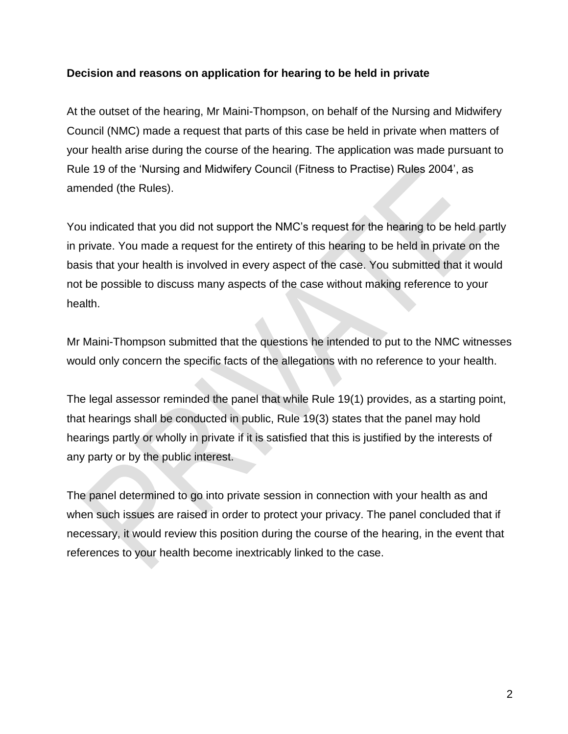### **Decision and reasons on application for hearing to be held in private**

At the outset of the hearing, Mr Maini-Thompson, on behalf of the Nursing and Midwifery Council (NMC) made a request that parts of this case be held in private when matters of your health arise during the course of the hearing. The application was made pursuant to Rule 19 of the 'Nursing and Midwifery Council (Fitness to Practise) Rules 2004', as amended (the Rules).

You indicated that you did not support the NMC's request for the hearing to be held partly in private. You made a request for the entirety of this hearing to be held in private on the basis that your health is involved in every aspect of the case. You submitted that it would not be possible to discuss many aspects of the case without making reference to your health.

Mr Maini-Thompson submitted that the questions he intended to put to the NMC witnesses would only concern the specific facts of the allegations with no reference to your health.

The legal assessor reminded the panel that while Rule 19(1) provides, as a starting point, that hearings shall be conducted in public, Rule 19(3) states that the panel may hold hearings partly or wholly in private if it is satisfied that this is justified by the interests of any party or by the public interest.

The panel determined to go into private session in connection with your health as and when such issues are raised in order to protect your privacy. The panel concluded that if necessary, it would review this position during the course of the hearing, in the event that references to your health become inextricably linked to the case.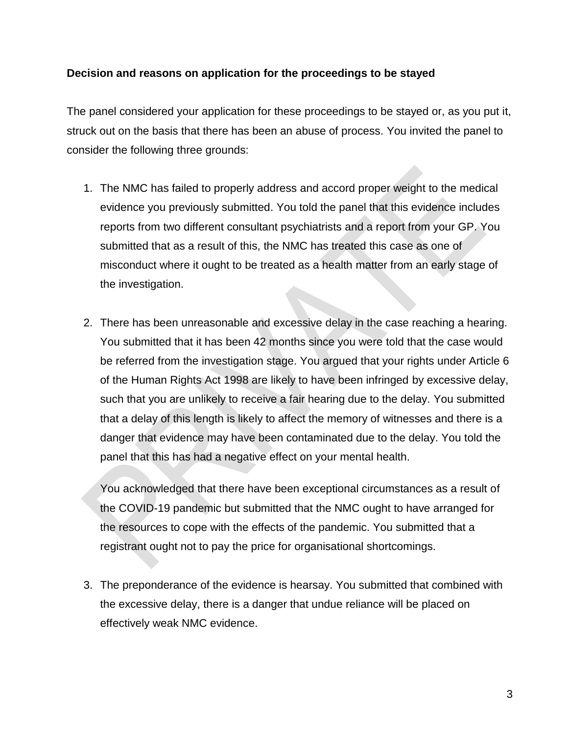### **Decision and reasons on application for the proceedings to be stayed**

The panel considered your application for these proceedings to be stayed or, as you put it, struck out on the basis that there has been an abuse of process. You invited the panel to consider the following three grounds:

- 1. The NMC has failed to properly address and accord proper weight to the medical evidence you previously submitted. You told the panel that this evidence includes reports from two different consultant psychiatrists and a report from your GP. You submitted that as a result of this, the NMC has treated this case as one of misconduct where it ought to be treated as a health matter from an early stage of the investigation.
- 2. There has been unreasonable and excessive delay in the case reaching a hearing. You submitted that it has been 42 months since you were told that the case would be referred from the investigation stage. You argued that your rights under Article 6 of the Human Rights Act 1998 are likely to have been infringed by excessive delay, such that you are unlikely to receive a fair hearing due to the delay. You submitted that a delay of this length is likely to affect the memory of witnesses and there is a danger that evidence may have been contaminated due to the delay. You told the panel that this has had a negative effect on your mental health.

You acknowledged that there have been exceptional circumstances as a result of the COVID-19 pandemic but submitted that the NMC ought to have arranged for the resources to cope with the effects of the pandemic. You submitted that a registrant ought not to pay the price for organisational shortcomings.

3. The preponderance of the evidence is hearsay. You submitted that combined with the excessive delay, there is a danger that undue reliance will be placed on effectively weak NMC evidence.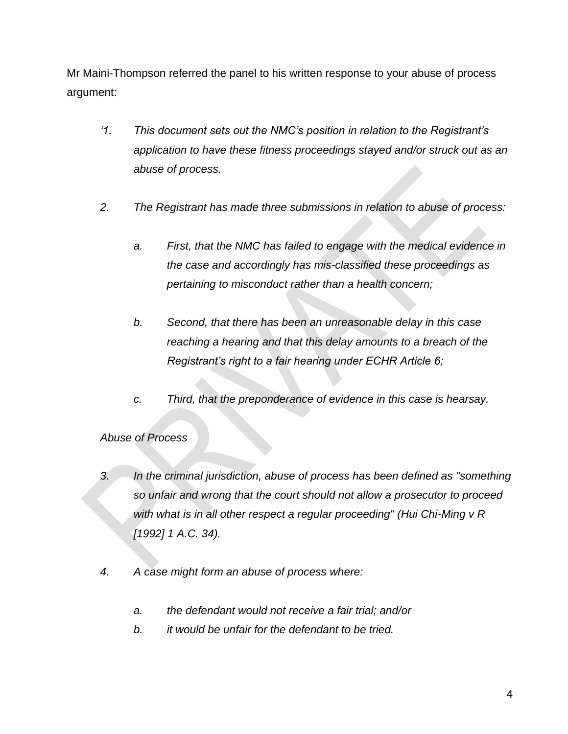Mr Maini-Thompson referred the panel to his written response to your abuse of process argument:

- *'1. This document sets out the NMC's position in relation to the Registrant's application to have these fitness proceedings stayed and/or struck out as an abuse of process.*
- *2. The Registrant has made three submissions in relation to abuse of process:*
	- *a. First, that the NMC has failed to engage with the medical evidence in the case and accordingly has mis-classified these proceedings as pertaining to misconduct rather than a health concern;*
	- *b. Second, that there has been an unreasonable delay in this case reaching a hearing and that this delay amounts to a breach of the Registrant's right to a fair hearing under ECHR Article 6;*
	- *c. Third, that the preponderance of evidence in this case is hearsay.*

### *Abuse of Process*

- *3. In the criminal jurisdiction, abuse of process has been defined as "something so unfair and wrong that the court should not allow a prosecutor to proceed with what is in all other respect a regular proceeding" (Hui Chi-Ming v R [1992] 1 A.C. 34).*
- *4. A case might form an abuse of process where:* 
	- *a. the defendant would not receive a fair trial; and/or*
	- *b. it would be unfair for the defendant to be tried.*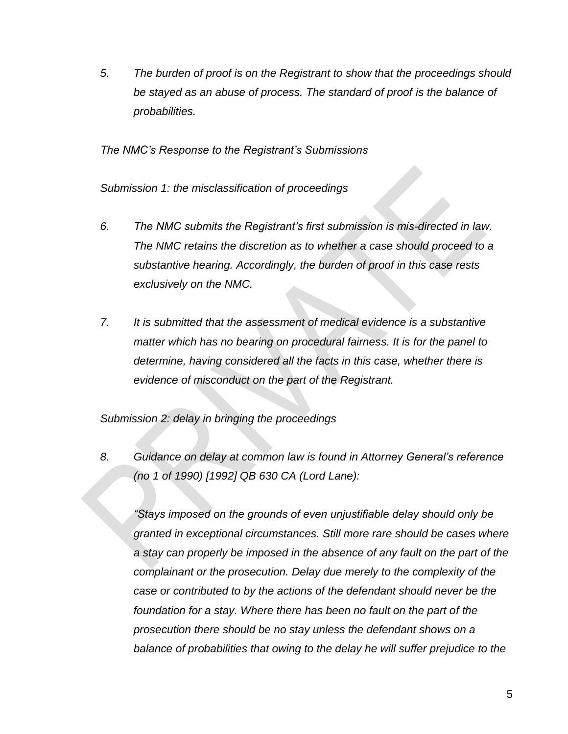*5. The burden of proof is on the Registrant to show that the proceedings should be stayed as an abuse of process. The standard of proof is the balance of probabilities.*

*The NMC's Response to the Registrant's Submissions*

*Submission 1: the misclassification of proceedings*

- *6. The NMC submits the Registrant's first submission is mis-directed in law. The NMC retains the discretion as to whether a case should proceed to a substantive hearing. Accordingly, the burden of proof in this case rests exclusively on the NMC.*
- *7. It is submitted that the assessment of medical evidence is a substantive matter which has no bearing on procedural fairness. It is for the panel to determine, having considered all the facts in this case, whether there is evidence of misconduct on the part of the Registrant.*

*Submission 2: delay in bringing the proceedings*

*8. Guidance on delay at common law is found in Attorney General's reference (no 1 of 1990) [1992] QB 630 CA (Lord Lane):*

*"Stays imposed on the grounds of even unjustifiable delay should only be granted in exceptional circumstances. Still more rare should be cases where a stay can properly be imposed in the absence of any fault on the part of the complainant or the prosecution. Delay due merely to the complexity of the case or contributed to by the actions of the defendant should never be the foundation for a stay. Where there has been no fault on the part of the prosecution there should be no stay unless the defendant shows on a balance of probabilities that owing to the delay he will suffer prejudice to the*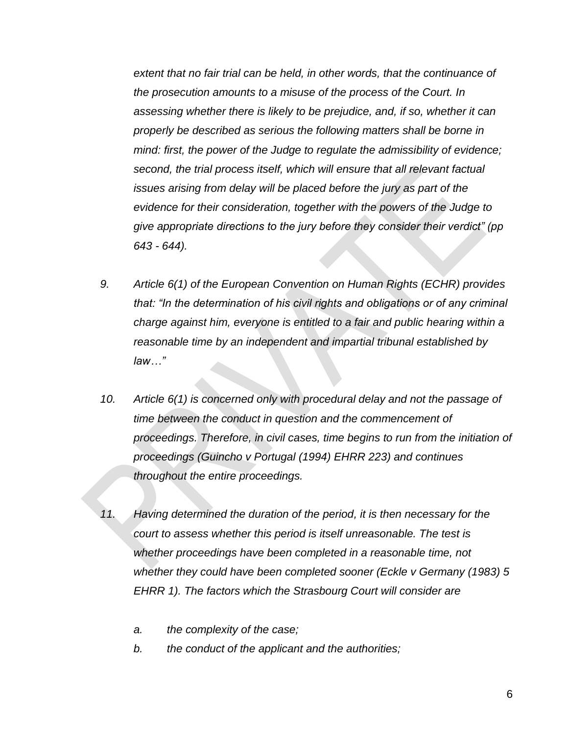*extent that no fair trial can be held, in other words, that the continuance of the prosecution amounts to a misuse of the process of the Court. In assessing whether there is likely to be prejudice, and, if so, whether it can properly be described as serious the following matters shall be borne in mind: first, the power of the Judge to regulate the admissibility of evidence; second, the trial process itself, which will ensure that all relevant factual issues arising from delay will be placed before the jury as part of the evidence for their consideration, together with the powers of the Judge to give appropriate directions to the jury before they consider their verdict" (pp 643 - 644).*

- *9. Article 6(1) of the European Convention on Human Rights (ECHR) provides that: "In the determination of his civil rights and obligations or of any criminal charge against him, everyone is entitled to a fair and public hearing within a reasonable time by an independent and impartial tribunal established by law…"*
- *10. Article 6(1) is concerned only with procedural delay and not the passage of time between the conduct in question and the commencement of proceedings. Therefore, in civil cases, time begins to run from the initiation of proceedings (Guincho v Portugal (1994) EHRR 223) and continues throughout the entire proceedings.*
- *11. Having determined the duration of the period, it is then necessary for the court to assess whether this period is itself unreasonable. The test is whether proceedings have been completed in a reasonable time, not whether they could have been completed sooner (Eckle v Germany (1983) 5 EHRR 1). The factors which the Strasbourg Court will consider are* 
	- *a. the complexity of the case;*
	- *b. the conduct of the applicant and the authorities;*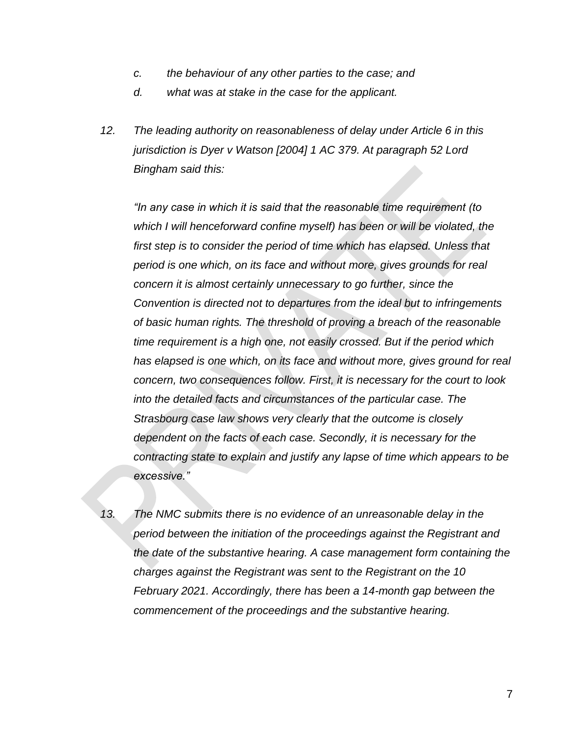- *c. the behaviour of any other parties to the case; and*
- *d. what was at stake in the case for the applicant.*
- *12. The leading authority on reasonableness of delay under Article 6 in this jurisdiction is Dyer v Watson [2004] 1 AC 379. At paragraph 52 Lord Bingham said this:*

*"In any case in which it is said that the reasonable time requirement (to which I will henceforward confine myself) has been or will be violated, the*  first step is to consider the period of time which has elapsed. Unless that *period is one which, on its face and without more, gives grounds for real concern it is almost certainly unnecessary to go further, since the Convention is directed not to departures from the ideal but to infringements of basic human rights. The threshold of proving a breach of the reasonable time requirement is a high one, not easily crossed. But if the period which*  has elapsed is one which, on its face and without more, gives ground for real *concern, two consequences follow. First, it is necessary for the court to look into the detailed facts and circumstances of the particular case. The Strasbourg case law shows very clearly that the outcome is closely dependent on the facts of each case. Secondly, it is necessary for the contracting state to explain and justify any lapse of time which appears to be excessive."*

*13. The NMC submits there is no evidence of an unreasonable delay in the period between the initiation of the proceedings against the Registrant and the date of the substantive hearing. A case management form containing the charges against the Registrant was sent to the Registrant on the 10 February 2021. Accordingly, there has been a 14-month gap between the commencement of the proceedings and the substantive hearing.*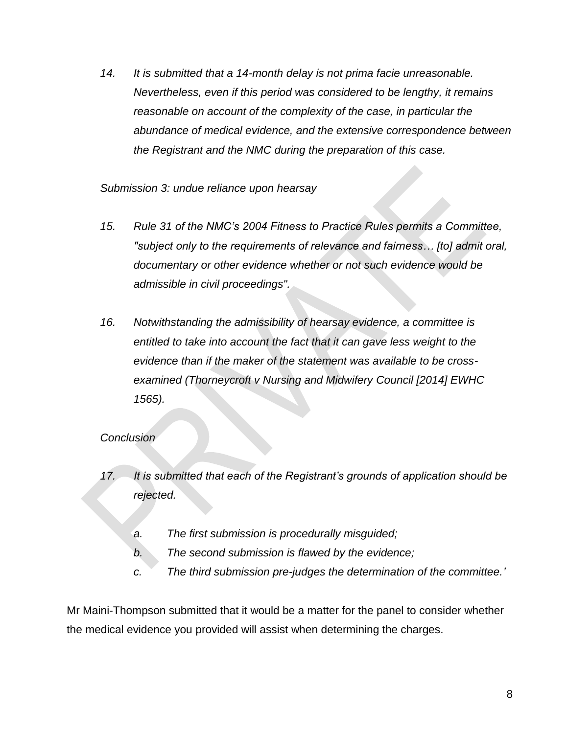*14. It is submitted that a 14-month delay is not prima facie unreasonable. Nevertheless, even if this period was considered to be lengthy, it remains reasonable on account of the complexity of the case, in particular the abundance of medical evidence, and the extensive correspondence between the Registrant and the NMC during the preparation of this case.*

*Submission 3: undue reliance upon hearsay*

- *15. Rule 31 of the NMC's 2004 Fitness to Practice Rules permits a Committee, "subject only to the requirements of relevance and fairness… [to] admit oral, documentary or other evidence whether or not such evidence would be admissible in civil proceedings".*
- *16. Notwithstanding the admissibility of hearsay evidence, a committee is entitled to take into account the fact that it can gave less weight to the evidence than if the maker of the statement was available to be crossexamined (Thorneycroft v Nursing and Midwifery Council [2014] EWHC 1565).*

# *Conclusion*

- *17. It is submitted that each of the Registrant's grounds of application should be rejected.* 
	- *a. The first submission is procedurally misguided;*
	- *b. The second submission is flawed by the evidence;*
	- *c. The third submission pre-judges the determination of the committee.'*

Mr Maini-Thompson submitted that it would be a matter for the panel to consider whether the medical evidence you provided will assist when determining the charges.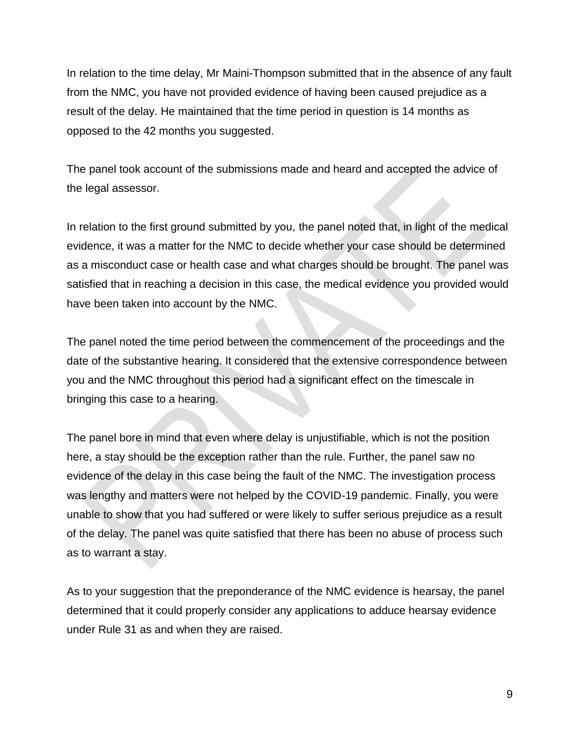In relation to the time delay, Mr Maini-Thompson submitted that in the absence of any fault from the NMC, you have not provided evidence of having been caused prejudice as a result of the delay. He maintained that the time period in question is 14 months as opposed to the 42 months you suggested.

The panel took account of the submissions made and heard and accepted the advice of the legal assessor.

In relation to the first ground submitted by you, the panel noted that, in light of the medical evidence, it was a matter for the NMC to decide whether your case should be determined as a misconduct case or health case and what charges should be brought. The panel was satisfied that in reaching a decision in this case, the medical evidence you provided would have been taken into account by the NMC.

The panel noted the time period between the commencement of the proceedings and the date of the substantive hearing. It considered that the extensive correspondence between you and the NMC throughout this period had a significant effect on the timescale in bringing this case to a hearing.

The panel bore in mind that even where delay is unjustifiable, which is not the position here, a stay should be the exception rather than the rule. Further, the panel saw no evidence of the delay in this case being the fault of the NMC. The investigation process was lengthy and matters were not helped by the COVID-19 pandemic. Finally, you were unable to show that you had suffered or were likely to suffer serious prejudice as a result of the delay. The panel was quite satisfied that there has been no abuse of process such as to warrant a stay.

As to your suggestion that the preponderance of the NMC evidence is hearsay, the panel determined that it could properly consider any applications to adduce hearsay evidence under Rule 31 as and when they are raised.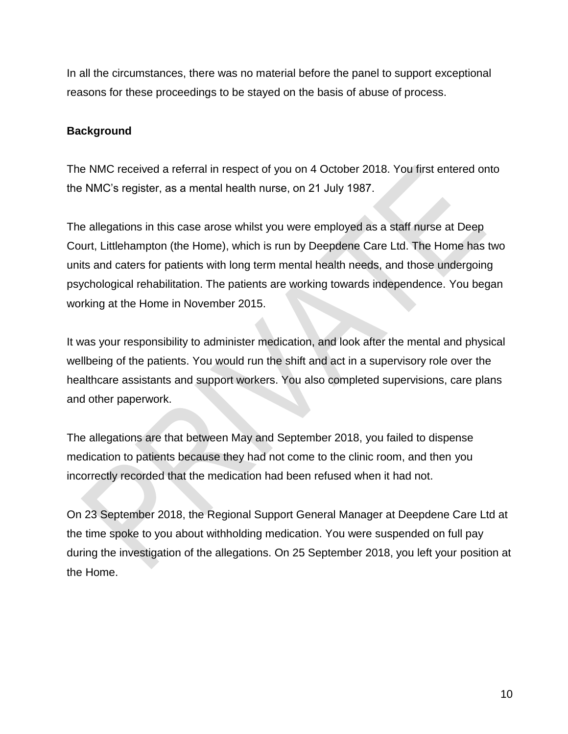In all the circumstances, there was no material before the panel to support exceptional reasons for these proceedings to be stayed on the basis of abuse of process.

### **Background**

The NMC received a referral in respect of you on 4 October 2018. You first entered onto the NMC's register, as a mental health nurse, on 21 July 1987.

The allegations in this case arose whilst you were employed as a staff nurse at Deep Court, Littlehampton (the Home), which is run by Deepdene Care Ltd. The Home has two units and caters for patients with long term mental health needs, and those undergoing psychological rehabilitation. The patients are working towards independence. You began working at the Home in November 2015.

It was your responsibility to administer medication, and look after the mental and physical wellbeing of the patients. You would run the shift and act in a supervisory role over the healthcare assistants and support workers. You also completed supervisions, care plans and other paperwork.

The allegations are that between May and September 2018, you failed to dispense medication to patients because they had not come to the clinic room, and then you incorrectly recorded that the medication had been refused when it had not.

On 23 September 2018, the Regional Support General Manager at Deepdene Care Ltd at the time spoke to you about withholding medication. You were suspended on full pay during the investigation of the allegations. On 25 September 2018, you left your position at the Home.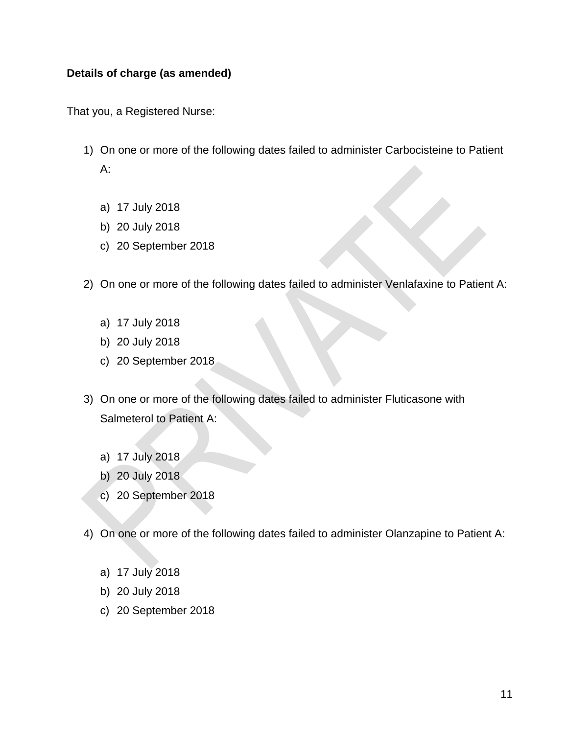### **Details of charge (as amended)**

That you, a Registered Nurse:

- 1) On one or more of the following dates failed to administer Carbocisteine to Patient A:
	- a) 17 July 2018
	- b) 20 July 2018
	- c) 20 September 2018
- 2) On one or more of the following dates failed to administer Venlafaxine to Patient A:
	- a) 17 July 2018
	- b) 20 July 2018
	- c) 20 September 2018
- 3) On one or more of the following dates failed to administer Fluticasone with Salmeterol to Patient A:
	- a) 17 July 2018
	- b) 20 July 2018
	- c) 20 September 2018
- 4) On one or more of the following dates failed to administer Olanzapine to Patient A:
	- a) 17 July 2018
	- b) 20 July 2018
	- c) 20 September 2018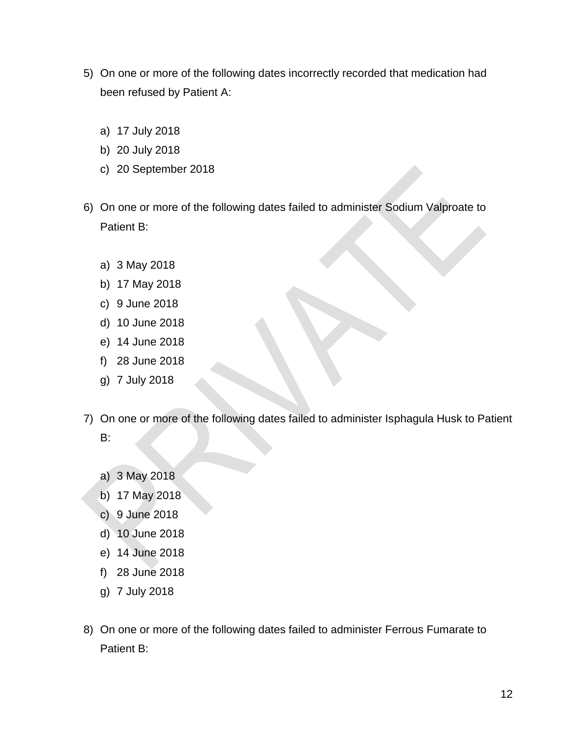- 5) On one or more of the following dates incorrectly recorded that medication had been refused by Patient A:
	- a) 17 July 2018
	- b) 20 July 2018
	- c) 20 September 2018
- 6) On one or more of the following dates failed to administer Sodium Valproate to Patient B:
	- a) 3 May 2018
	- b) 17 May 2018
	- c) 9 June 2018
	- d) 10 June 2018
	- e) 14 June 2018
	- f) 28 June 2018
	- g) 7 July 2018
- 7) On one or more of the following dates failed to administer Isphagula Husk to Patient B:
	- a) 3 May 2018
	- b) 17 May 2018
	- c) 9 June 2018
	- d) 10 June 2018
	- e) 14 June 2018
	- f) 28 June 2018
	- g) 7 July 2018
- 8) On one or more of the following dates failed to administer Ferrous Fumarate to Patient B: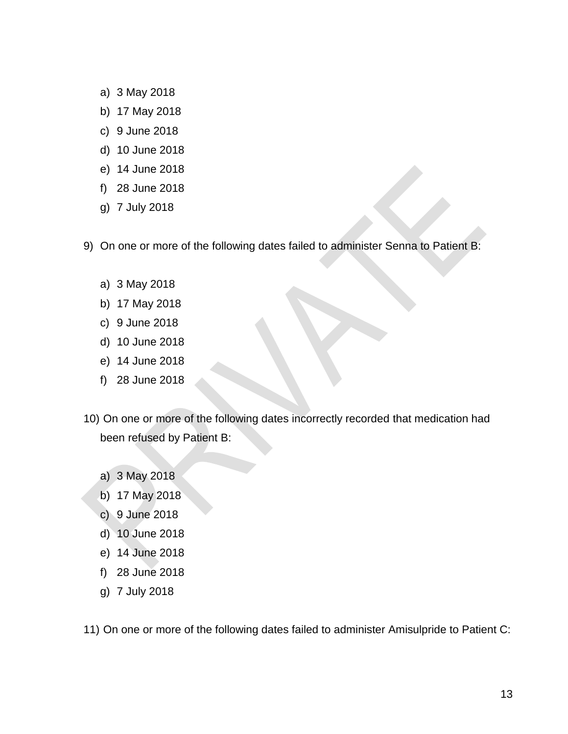- a) 3 May 2018
- b) 17 May 2018
- c) 9 June 2018
- d) 10 June 2018
- e) 14 June 2018
- f) 28 June 2018
- g) 7 July 2018
- 9) On one or more of the following dates failed to administer Senna to Patient B:
	- a) 3 May 2018
	- b) 17 May 2018
	- c) 9 June 2018
	- d) 10 June 2018
	- e) 14 June 2018
	- f) 28 June 2018
- 10) On one or more of the following dates incorrectly recorded that medication had been refused by Patient B:
	- a) 3 May 2018
	- b) 17 May 2018
	- c) 9 June 2018
	- d) 10 June 2018
	- e) 14 June 2018
	- f) 28 June 2018
	- g) 7 July 2018

11) On one or more of the following dates failed to administer Amisulpride to Patient C: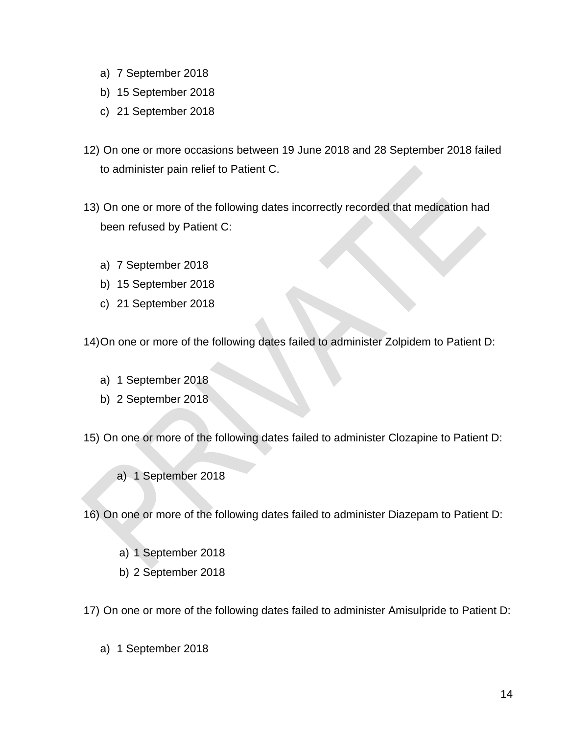- a) 7 September 2018
- b) 15 September 2018
- c) 21 September 2018
- 12) On one or more occasions between 19 June 2018 and 28 September 2018 failed to administer pain relief to Patient C.
- 13) On one or more of the following dates incorrectly recorded that medication had been refused by Patient C:
	- a) 7 September 2018
	- b) 15 September 2018
	- c) 21 September 2018

14)On one or more of the following dates failed to administer Zolpidem to Patient D:

- a) 1 September 2018
- b) 2 September 2018

15) On one or more of the following dates failed to administer Clozapine to Patient D:

a) 1 September 2018

16) On one or more of the following dates failed to administer Diazepam to Patient D:

- a) 1 September 2018
- b) 2 September 2018

17) On one or more of the following dates failed to administer Amisulpride to Patient D:

a) 1 September 2018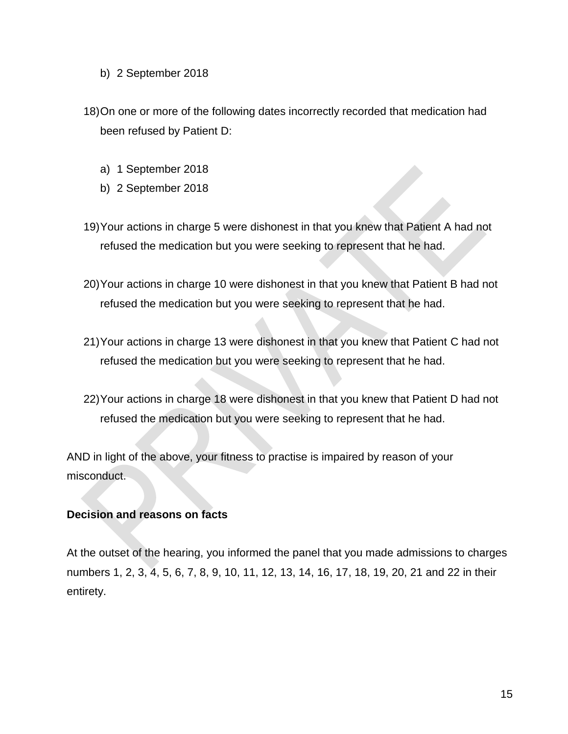- b) 2 September 2018
- 18)On one or more of the following dates incorrectly recorded that medication had been refused by Patient D:
	- a) 1 September 2018
	- b) 2 September 2018
- 19)Your actions in charge 5 were dishonest in that you knew that Patient A had not refused the medication but you were seeking to represent that he had.
- 20)Your actions in charge 10 were dishonest in that you knew that Patient B had not refused the medication but you were seeking to represent that he had.
- 21)Your actions in charge 13 were dishonest in that you knew that Patient C had not refused the medication but you were seeking to represent that he had.
- 22)Your actions in charge 18 were dishonest in that you knew that Patient D had not refused the medication but you were seeking to represent that he had.

AND in light of the above, your fitness to practise is impaired by reason of your misconduct.

#### **Decision and reasons on facts**

At the outset of the hearing, you informed the panel that you made admissions to charges numbers 1, 2, 3, 4, 5, 6, 7, 8, 9, 10, 11, 12, 13, 14, 16, 17, 18, 19, 20, 21 and 22 in their entirety.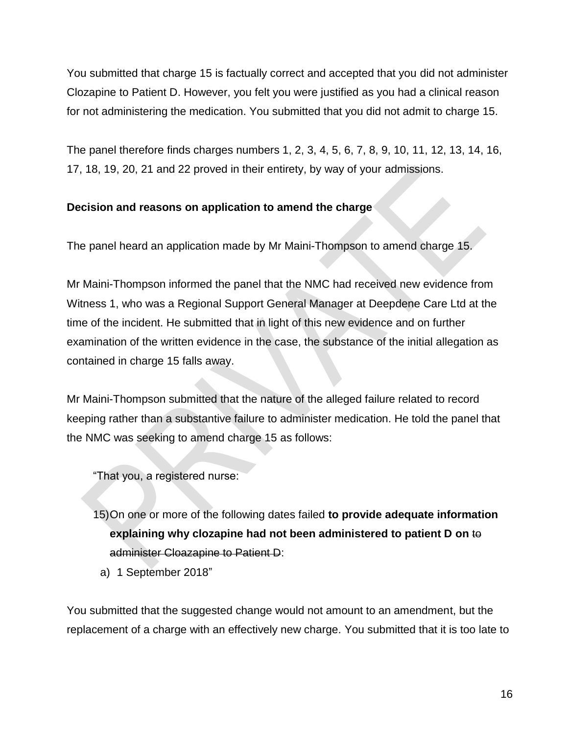You submitted that charge 15 is factually correct and accepted that you did not administer Clozapine to Patient D. However, you felt you were justified as you had a clinical reason for not administering the medication. You submitted that you did not admit to charge 15.

The panel therefore finds charges numbers 1, 2, 3, 4, 5, 6, 7, 8, 9, 10, 11, 12, 13, 14, 16, 17, 18, 19, 20, 21 and 22 proved in their entirety, by way of your admissions.

# **Decision and reasons on application to amend the charge**

The panel heard an application made by Mr Maini-Thompson to amend charge 15.

Mr Maini-Thompson informed the panel that the NMC had received new evidence from Witness 1, who was a Regional Support General Manager at Deepdene Care Ltd at the time of the incident. He submitted that in light of this new evidence and on further examination of the written evidence in the case, the substance of the initial allegation as contained in charge 15 falls away.

Mr Maini-Thompson submitted that the nature of the alleged failure related to record keeping rather than a substantive failure to administer medication. He told the panel that the NMC was seeking to amend charge 15 as follows:

"That you, a registered nurse:

- 15)On one or more of the following dates failed **to provide adequate information explaining why clozapine had not been administered to patient D on** to administer Cloazapine to Patient D:
	- a) 1 September 2018"

You submitted that the suggested change would not amount to an amendment, but the replacement of a charge with an effectively new charge. You submitted that it is too late to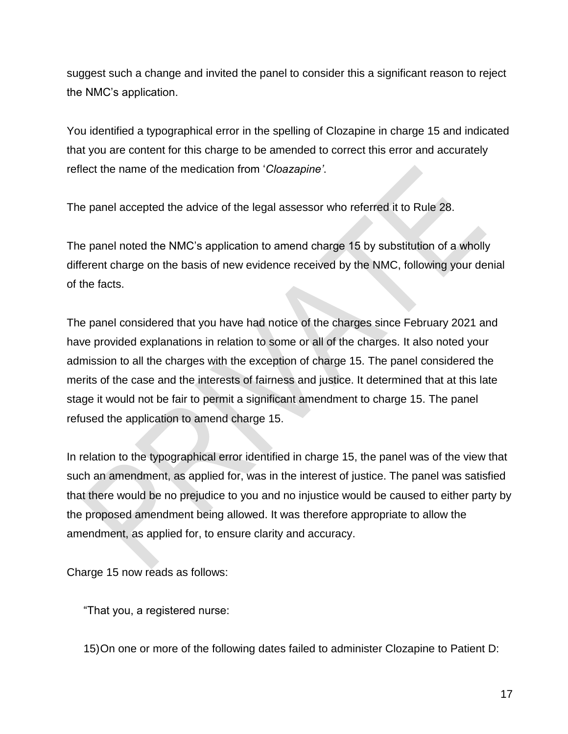suggest such a change and invited the panel to consider this a significant reason to reject the NMC's application.

You identified a typographical error in the spelling of Clozapine in charge 15 and indicated that you are content for this charge to be amended to correct this error and accurately reflect the name of the medication from '*Cloazapine'*.

The panel accepted the advice of the legal assessor who referred it to Rule 28.

The panel noted the NMC's application to amend charge 15 by substitution of a wholly different charge on the basis of new evidence received by the NMC, following your denial of the facts.

The panel considered that you have had notice of the charges since February 2021 and have provided explanations in relation to some or all of the charges. It also noted your admission to all the charges with the exception of charge 15. The panel considered the merits of the case and the interests of fairness and justice. It determined that at this late stage it would not be fair to permit a significant amendment to charge 15. The panel refused the application to amend charge 15.

In relation to the typographical error identified in charge 15, the panel was of the view that such an amendment, as applied for, was in the interest of justice. The panel was satisfied that there would be no prejudice to you and no injustice would be caused to either party by the proposed amendment being allowed. It was therefore appropriate to allow the amendment, as applied for, to ensure clarity and accuracy.

Charge 15 now reads as follows:

"That you, a registered nurse:

15)On one or more of the following dates failed to administer Clozapine to Patient D: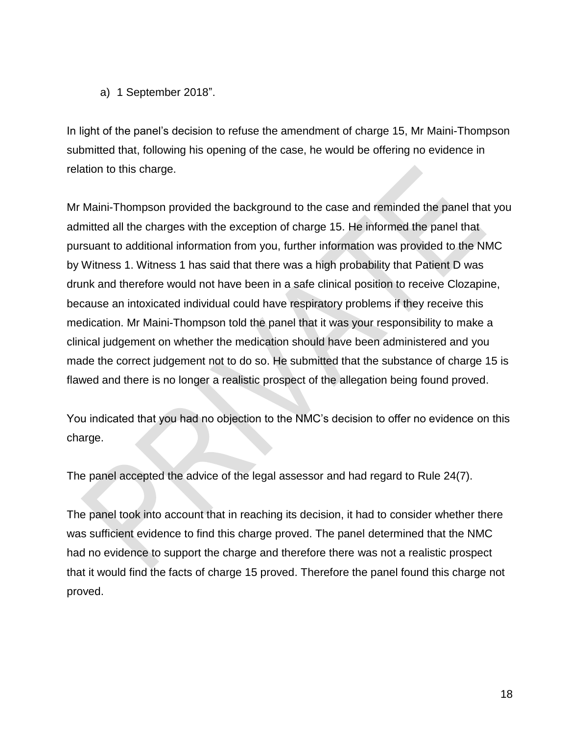a) 1 September 2018".

In light of the panel's decision to refuse the amendment of charge 15, Mr Maini-Thompson submitted that, following his opening of the case, he would be offering no evidence in relation to this charge.

Mr Maini-Thompson provided the background to the case and reminded the panel that you admitted all the charges with the exception of charge 15. He informed the panel that pursuant to additional information from you, further information was provided to the NMC by Witness 1. Witness 1 has said that there was a high probability that Patient D was drunk and therefore would not have been in a safe clinical position to receive Clozapine, because an intoxicated individual could have respiratory problems if they receive this medication. Mr Maini-Thompson told the panel that it was your responsibility to make a clinical judgement on whether the medication should have been administered and you made the correct judgement not to do so. He submitted that the substance of charge 15 is flawed and there is no longer a realistic prospect of the allegation being found proved.

You indicated that you had no objection to the NMC's decision to offer no evidence on this charge.

The panel accepted the advice of the legal assessor and had regard to Rule 24(7).

The panel took into account that in reaching its decision, it had to consider whether there was sufficient evidence to find this charge proved. The panel determined that the NMC had no evidence to support the charge and therefore there was not a realistic prospect that it would find the facts of charge 15 proved. Therefore the panel found this charge not proved.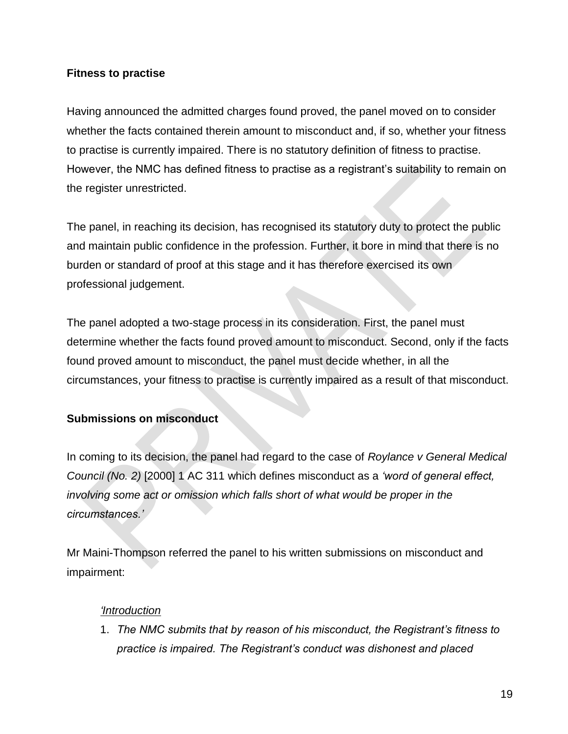### **Fitness to practise**

Having announced the admitted charges found proved, the panel moved on to consider whether the facts contained therein amount to misconduct and, if so, whether your fitness to practise is currently impaired. There is no statutory definition of fitness to practise. However, the NMC has defined fitness to practise as a registrant's suitability to remain on the register unrestricted.

The panel, in reaching its decision, has recognised its statutory duty to protect the public and maintain public confidence in the profession. Further, it bore in mind that there is no burden or standard of proof at this stage and it has therefore exercised its own professional judgement.

The panel adopted a two-stage process in its consideration. First, the panel must determine whether the facts found proved amount to misconduct. Second, only if the facts found proved amount to misconduct, the panel must decide whether, in all the circumstances, your fitness to practise is currently impaired as a result of that misconduct.

# **Submissions on misconduct**

In coming to its decision, the panel had regard to the case of *Roylance v General Medical Council (No. 2)* [2000] 1 AC 311 which defines misconduct as a *'word of general effect, involving some act or omission which falls short of what would be proper in the circumstances.'*

Mr Maini-Thompson referred the panel to his written submissions on misconduct and impairment:

### *'Introduction*

1. *The NMC submits that by reason of his misconduct, the Registrant's fitness to practice is impaired. The Registrant's conduct was dishonest and placed*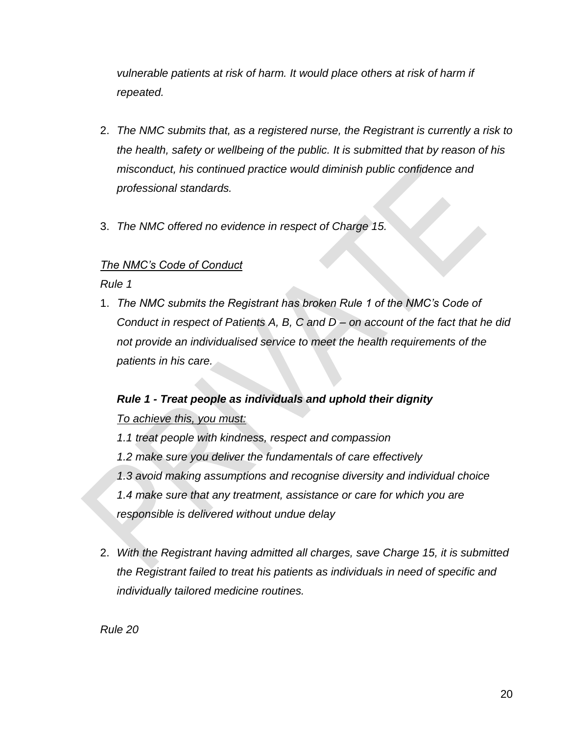*vulnerable patients at risk of harm. It would place others at risk of harm if repeated.* 

- 2. *The NMC submits that, as a registered nurse, the Registrant is currently a risk to the health, safety or wellbeing of the public. It is submitted that by reason of his misconduct, his continued practice would diminish public confidence and professional standards.*
- 3. *The NMC offered no evidence in respect of Charge 15.*

### *The NMC's Code of Conduct*

#### *Rule 1*

1. *The NMC submits the Registrant has broken Rule 1 of the NMC's Code of Conduct in respect of Patients A, B, C and D – on account of the fact that he did not provide an individualised service to meet the health requirements of the patients in his care.*

# *Rule 1 - Treat people as individuals and uphold their dignity*

### *To achieve this, you must:*

- *1.1 treat people with kindness, respect and compassion 1.2 make sure you deliver the fundamentals of care effectively 1.3 avoid making assumptions and recognise diversity and individual choice 1.4 make sure that any treatment, assistance or care for which you are responsible is delivered without undue delay*
- 2. *With the Registrant having admitted all charges, save Charge 15, it is submitted the Registrant failed to treat his patients as individuals in need of specific and individually tailored medicine routines.*

*Rule 20*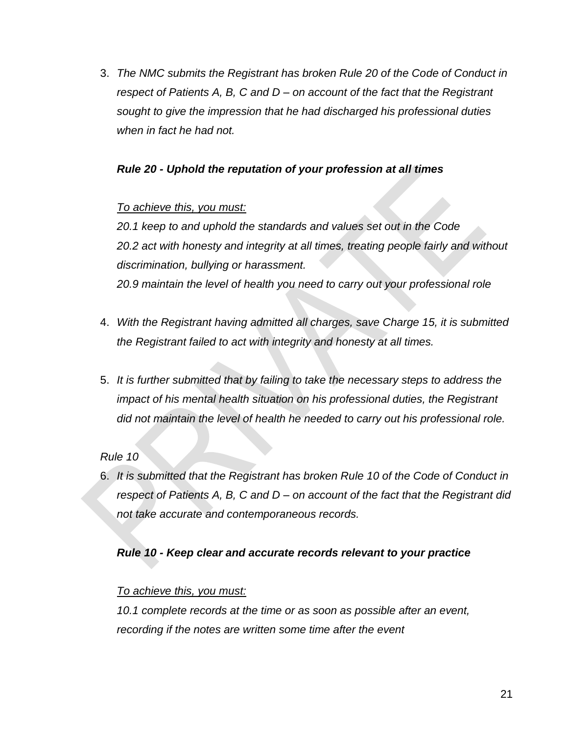3. *The NMC submits the Registrant has broken Rule 20 of the Code of Conduct in respect of Patients A, B, C and D – on account of the fact that the Registrant sought to give the impression that he had discharged his professional duties when in fact he had not.* 

### *Rule 20 - Uphold the reputation of your profession at all times*

#### *To achieve this, you must:*

*20.1 keep to and uphold the standards and values set out in the Code 20.2 act with honesty and integrity at all times, treating people fairly and without discrimination, bullying or harassment. 20.9 maintain the level of health you need to carry out your professional role*

- 4. *With the Registrant having admitted all charges, save Charge 15, it is submitted the Registrant failed to act with integrity and honesty at all times.*
- 5. *It is further submitted that by failing to take the necessary steps to address the impact of his mental health situation on his professional duties, the Registrant did not maintain the level of health he needed to carry out his professional role.*

#### *Rule 10*

6. *It is submitted that the Registrant has broken Rule 10 of the Code of Conduct in respect of Patients A, B, C and D – on account of the fact that the Registrant did not take accurate and contemporaneous records.*

### *Rule 10 - Keep clear and accurate records relevant to your practice*

#### *To achieve this, you must:*

*10.1 complete records at the time or as soon as possible after an event, recording if the notes are written some time after the event*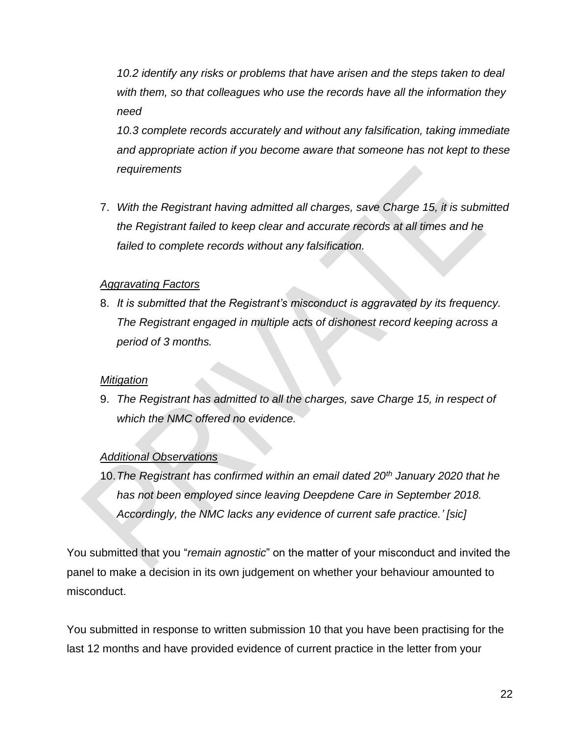*10.2 identify any risks or problems that have arisen and the steps taken to deal with them, so that colleagues who use the records have all the information they need*

*10.3 complete records accurately and without any falsification, taking immediate and appropriate action if you become aware that someone has not kept to these requirements*

7. *With the Registrant having admitted all charges, save Charge 15, it is submitted the Registrant failed to keep clear and accurate records at all times and he failed to complete records without any falsification.*

### *Aggravating Factors*

8. *It is submitted that the Registrant's misconduct is aggravated by its frequency. The Registrant engaged in multiple acts of dishonest record keeping across a period of 3 months.*

#### *Mitigation*

9. *The Registrant has admitted to all the charges, save Charge 15, in respect of which the NMC offered no evidence.*

### *Additional Observations*

10.*The Registrant has confirmed within an email dated 20th January 2020 that he has not been employed since leaving Deepdene Care in September 2018. Accordingly, the NMC lacks any evidence of current safe practice.' [sic]*

You submitted that you "*remain agnostic*" on the matter of your misconduct and invited the panel to make a decision in its own judgement on whether your behaviour amounted to misconduct.

You submitted in response to written submission 10 that you have been practising for the last 12 months and have provided evidence of current practice in the letter from your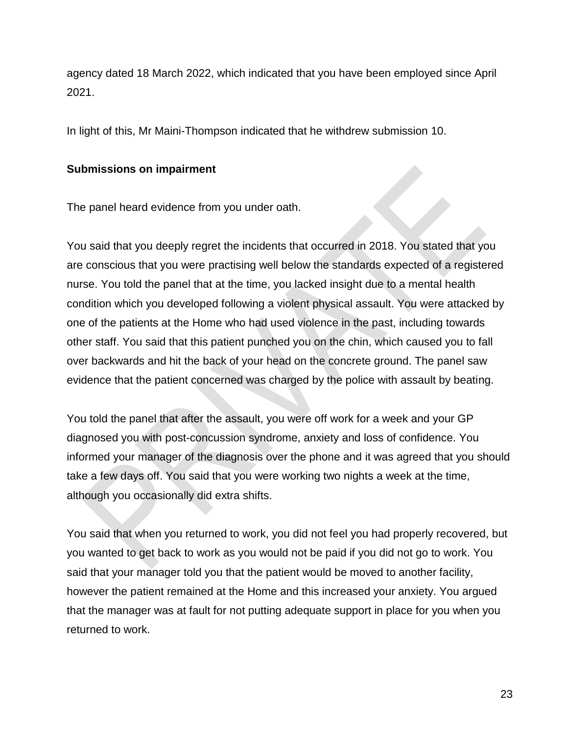agency dated 18 March 2022, which indicated that you have been employed since April 2021.

In light of this, Mr Maini-Thompson indicated that he withdrew submission 10.

### **Submissions on impairment**

The panel heard evidence from you under oath.

You said that you deeply regret the incidents that occurred in 2018. You stated that you are conscious that you were practising well below the standards expected of a registered nurse. You told the panel that at the time, you lacked insight due to a mental health condition which you developed following a violent physical assault. You were attacked by one of the patients at the Home who had used violence in the past, including towards other staff. You said that this patient punched you on the chin, which caused you to fall over backwards and hit the back of your head on the concrete ground. The panel saw evidence that the patient concerned was charged by the police with assault by beating.

You told the panel that after the assault, you were off work for a week and your GP diagnosed you with post-concussion syndrome, anxiety and loss of confidence. You informed your manager of the diagnosis over the phone and it was agreed that you should take a few days off. You said that you were working two nights a week at the time, although you occasionally did extra shifts.

You said that when you returned to work, you did not feel you had properly recovered, but you wanted to get back to work as you would not be paid if you did not go to work. You said that your manager told you that the patient would be moved to another facility, however the patient remained at the Home and this increased your anxiety. You argued that the manager was at fault for not putting adequate support in place for you when you returned to work.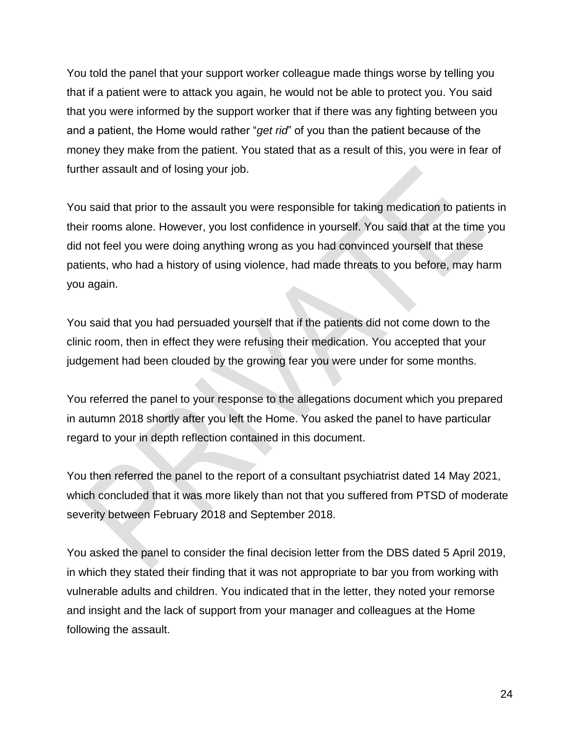You told the panel that your support worker colleague made things worse by telling you that if a patient were to attack you again, he would not be able to protect you. You said that you were informed by the support worker that if there was any fighting between you and a patient, the Home would rather "*get rid*" of you than the patient because of the money they make from the patient. You stated that as a result of this, you were in fear of further assault and of losing your job.

You said that prior to the assault you were responsible for taking medication to patients in their rooms alone. However, you lost confidence in yourself. You said that at the time you did not feel you were doing anything wrong as you had convinced yourself that these patients, who had a history of using violence, had made threats to you before, may harm you again.

You said that you had persuaded yourself that if the patients did not come down to the clinic room, then in effect they were refusing their medication. You accepted that your judgement had been clouded by the growing fear you were under for some months.

You referred the panel to your response to the allegations document which you prepared in autumn 2018 shortly after you left the Home. You asked the panel to have particular regard to your in depth reflection contained in this document.

You then referred the panel to the report of a consultant psychiatrist dated 14 May 2021, which concluded that it was more likely than not that you suffered from PTSD of moderate severity between February 2018 and September 2018.

You asked the panel to consider the final decision letter from the DBS dated 5 April 2019, in which they stated their finding that it was not appropriate to bar you from working with vulnerable adults and children. You indicated that in the letter, they noted your remorse and insight and the lack of support from your manager and colleagues at the Home following the assault.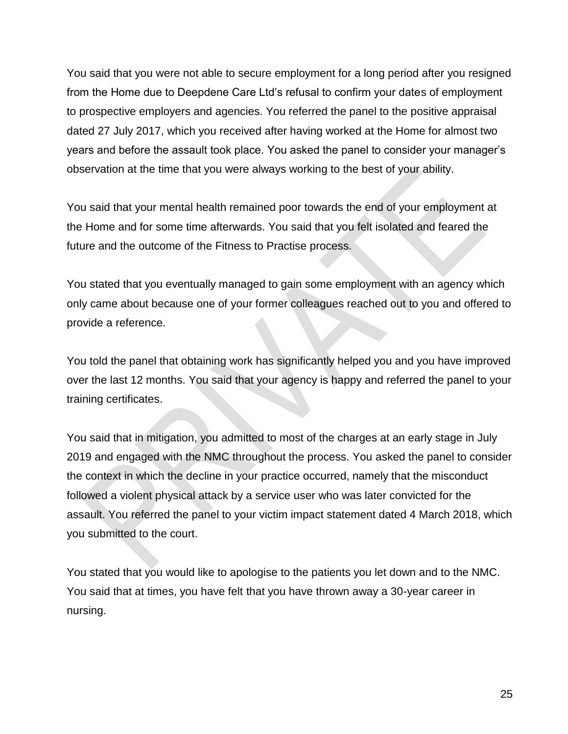You said that you were not able to secure employment for a long period after you resigned from the Home due to Deepdene Care Ltd's refusal to confirm your dates of employment to prospective employers and agencies. You referred the panel to the positive appraisal dated 27 July 2017, which you received after having worked at the Home for almost two years and before the assault took place. You asked the panel to consider your manager's observation at the time that you were always working to the best of your ability.

You said that your mental health remained poor towards the end of your employment at the Home and for some time afterwards. You said that you felt isolated and feared the future and the outcome of the Fitness to Practise process.

You stated that you eventually managed to gain some employment with an agency which only came about because one of your former colleagues reached out to you and offered to provide a reference.

You told the panel that obtaining work has significantly helped you and you have improved over the last 12 months. You said that your agency is happy and referred the panel to your training certificates.

You said that in mitigation, you admitted to most of the charges at an early stage in July 2019 and engaged with the NMC throughout the process. You asked the panel to consider the context in which the decline in your practice occurred, namely that the misconduct followed a violent physical attack by a service user who was later convicted for the assault. You referred the panel to your victim impact statement dated 4 March 2018, which you submitted to the court.

You stated that you would like to apologise to the patients you let down and to the NMC. You said that at times, you have felt that you have thrown away a 30-year career in nursing.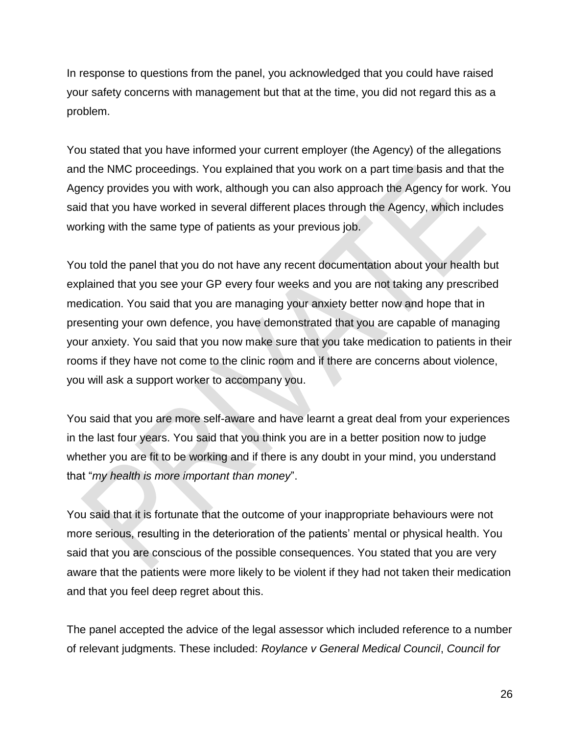In response to questions from the panel, you acknowledged that you could have raised your safety concerns with management but that at the time, you did not regard this as a problem.

You stated that you have informed your current employer (the Agency) of the allegations and the NMC proceedings. You explained that you work on a part time basis and that the Agency provides you with work, although you can also approach the Agency for work. You said that you have worked in several different places through the Agency, which includes working with the same type of patients as your previous job.

You told the panel that you do not have any recent documentation about your health but explained that you see your GP every four weeks and you are not taking any prescribed medication. You said that you are managing your anxiety better now and hope that in presenting your own defence, you have demonstrated that you are capable of managing your anxiety. You said that you now make sure that you take medication to patients in their rooms if they have not come to the clinic room and if there are concerns about violence, you will ask a support worker to accompany you.

You said that you are more self-aware and have learnt a great deal from your experiences in the last four years. You said that you think you are in a better position now to judge whether you are fit to be working and if there is any doubt in your mind, you understand that "*my health is more important than money*".

You said that it is fortunate that the outcome of your inappropriate behaviours were not more serious, resulting in the deterioration of the patients' mental or physical health. You said that you are conscious of the possible consequences. You stated that you are very aware that the patients were more likely to be violent if they had not taken their medication and that you feel deep regret about this.

The panel accepted the advice of the legal assessor which included reference to a number of relevant judgments. These included: *Roylance v General Medical Council*, *Council for*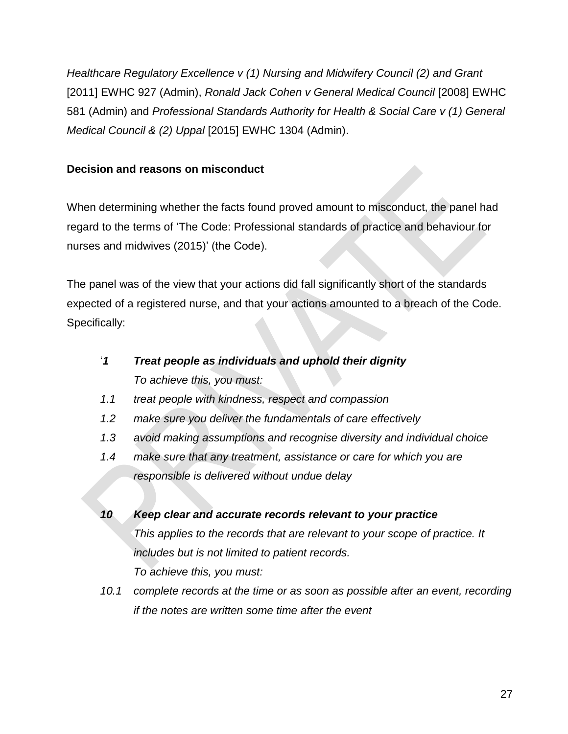*Healthcare Regulatory Excellence v (1) Nursing and Midwifery Council (2) and Grant*  [2011] EWHC 927 (Admin), *Ronald Jack Cohen v General Medical Council* [2008] EWHC 581 (Admin) and *Professional Standards Authority for Health & Social Care v (1) General Medical Council & (2) Uppal* [2015] EWHC 1304 (Admin).

### **Decision and reasons on misconduct**

When determining whether the facts found proved amount to misconduct, the panel had regard to the terms of 'The Code: Professional standards of practice and behaviour for nurses and midwives (2015)' (the Code).

The panel was of the view that your actions did fall significantly short of the standards expected of a registered nurse, and that your actions amounted to a breach of the Code. Specifically:

- '*1 Treat people as individuals and uphold their dignity To achieve this, you must:*
- *1.1 treat people with kindness, respect and compassion*
- *1.2 make sure you deliver the fundamentals of care effectively*
- *1.3 avoid making assumptions and recognise diversity and individual choice*
- *1.4 make sure that any treatment, assistance or care for which you are responsible is delivered without undue delay*
- *10 Keep clear and accurate records relevant to your practice This applies to the records that are relevant to your scope of practice. It includes but is not limited to patient records. To achieve this, you must:*
- *10.1 complete records at the time or as soon as possible after an event, recording if the notes are written some time after the event*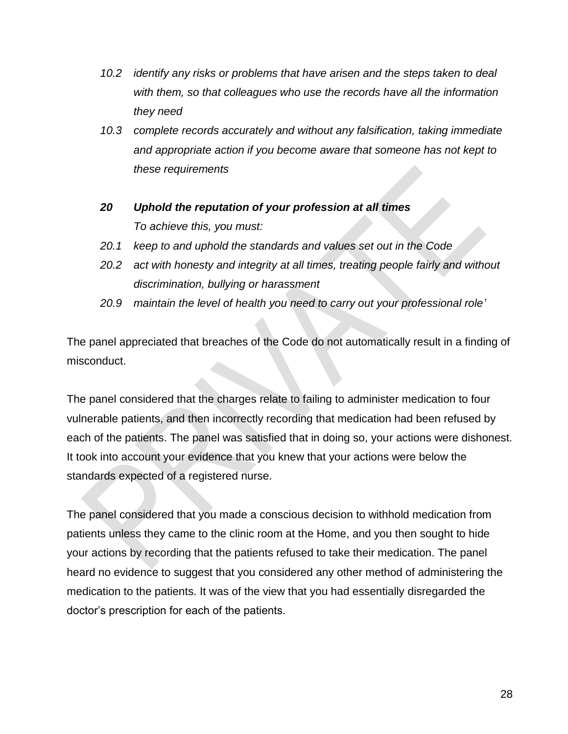- *10.2 identify any risks or problems that have arisen and the steps taken to deal with them, so that colleagues who use the records have all the information they need*
- *10.3 complete records accurately and without any falsification, taking immediate and appropriate action if you become aware that someone has not kept to these requirements*
- *20 Uphold the reputation of your profession at all times To achieve this, you must:*
- *20.1 keep to and uphold the standards and values set out in the Code*
- *20.2 act with honesty and integrity at all times, treating people fairly and without discrimination, bullying or harassment*
- *20.9 maintain the level of health you need to carry out your professional role'*

The panel appreciated that breaches of the Code do not automatically result in a finding of misconduct.

The panel considered that the charges relate to failing to administer medication to four vulnerable patients, and then incorrectly recording that medication had been refused by each of the patients. The panel was satisfied that in doing so, your actions were dishonest. It took into account your evidence that you knew that your actions were below the standards expected of a registered nurse.

The panel considered that you made a conscious decision to withhold medication from patients unless they came to the clinic room at the Home, and you then sought to hide your actions by recording that the patients refused to take their medication. The panel heard no evidence to suggest that you considered any other method of administering the medication to the patients. It was of the view that you had essentially disregarded the doctor's prescription for each of the patients.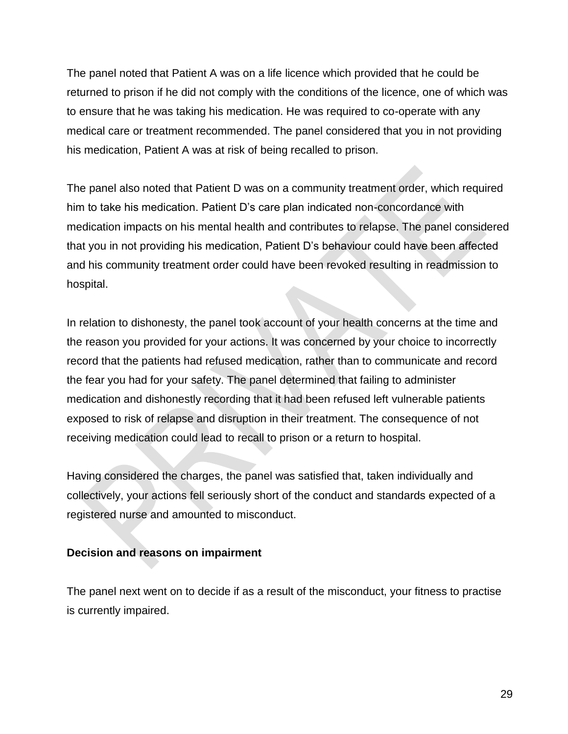The panel noted that Patient A was on a life licence which provided that he could be returned to prison if he did not comply with the conditions of the licence, one of which was to ensure that he was taking his medication. He was required to co-operate with any medical care or treatment recommended. The panel considered that you in not providing his medication, Patient A was at risk of being recalled to prison.

The panel also noted that Patient D was on a community treatment order, which required him to take his medication. Patient D's care plan indicated non-concordance with medication impacts on his mental health and contributes to relapse. The panel considered that you in not providing his medication, Patient D's behaviour could have been affected and his community treatment order could have been revoked resulting in readmission to hospital.

In relation to dishonesty, the panel took account of your health concerns at the time and the reason you provided for your actions. It was concerned by your choice to incorrectly record that the patients had refused medication, rather than to communicate and record the fear you had for your safety. The panel determined that failing to administer medication and dishonestly recording that it had been refused left vulnerable patients exposed to risk of relapse and disruption in their treatment. The consequence of not receiving medication could lead to recall to prison or a return to hospital.

Having considered the charges, the panel was satisfied that, taken individually and collectively, your actions fell seriously short of the conduct and standards expected of a registered nurse and amounted to misconduct.

### **Decision and reasons on impairment**

The panel next went on to decide if as a result of the misconduct, your fitness to practise is currently impaired.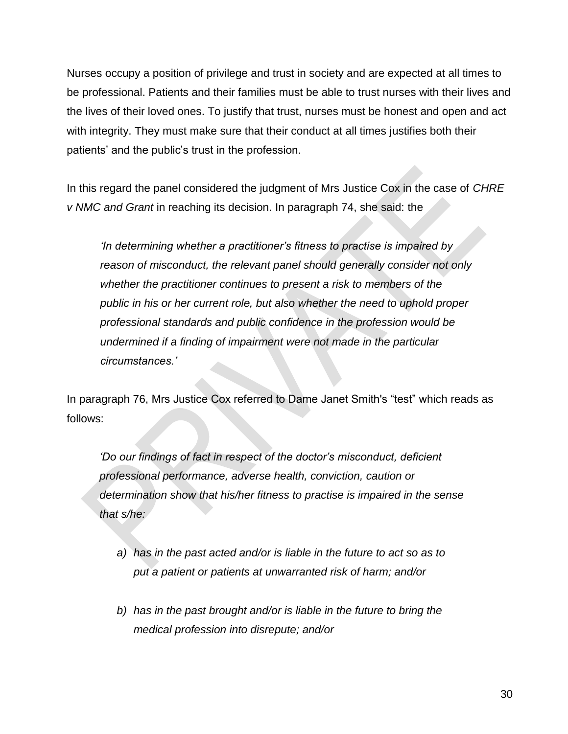Nurses occupy a position of privilege and trust in society and are expected at all times to be professional. Patients and their families must be able to trust nurses with their lives and the lives of their loved ones. To justify that trust, nurses must be honest and open and act with integrity. They must make sure that their conduct at all times justifies both their patients' and the public's trust in the profession.

In this regard the panel considered the judgment of Mrs Justice Cox in the case of *CHRE v NMC and Grant* in reaching its decision. In paragraph 74, she said: the

*'In determining whether a practitioner's fitness to practise is impaired by reason of misconduct, the relevant panel should generally consider not only whether the practitioner continues to present a risk to members of the public in his or her current role, but also whether the need to uphold proper professional standards and public confidence in the profession would be undermined if a finding of impairment were not made in the particular circumstances.'*

In paragraph 76, Mrs Justice Cox referred to Dame Janet Smith's "test" which reads as follows:

*'Do our findings of fact in respect of the doctor's misconduct, deficient professional performance, adverse health, conviction, caution or determination show that his/her fitness to practise is impaired in the sense that s/he:*

- *a) has in the past acted and/or is liable in the future to act so as to put a patient or patients at unwarranted risk of harm; and/or*
- *b) has in the past brought and/or is liable in the future to bring the medical profession into disrepute; and/or*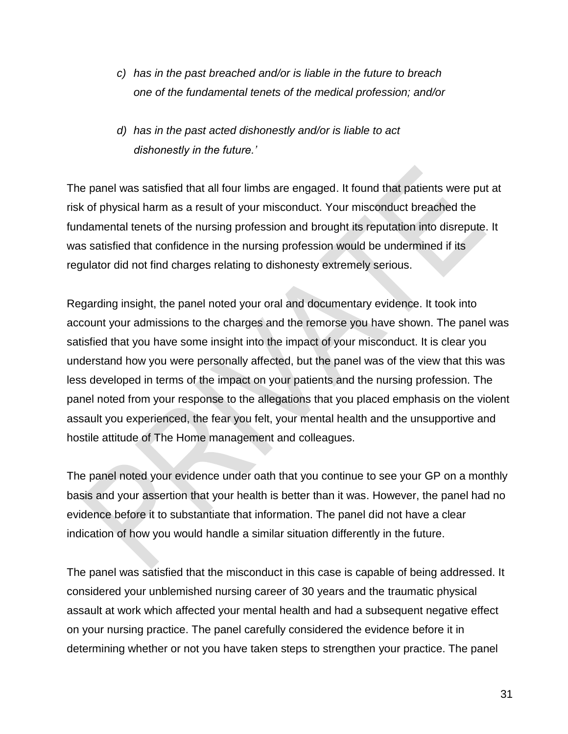- *c) has in the past breached and/or is liable in the future to breach one of the fundamental tenets of the medical profession; and/or*
- *d) has in the past acted dishonestly and/or is liable to act dishonestly in the future.'*

The panel was satisfied that all four limbs are engaged. It found that patients were put at risk of physical harm as a result of your misconduct. Your misconduct breached the fundamental tenets of the nursing profession and brought its reputation into disrepute. It was satisfied that confidence in the nursing profession would be undermined if its regulator did not find charges relating to dishonesty extremely serious.

Regarding insight, the panel noted your oral and documentary evidence. It took into account your admissions to the charges and the remorse you have shown. The panel was satisfied that you have some insight into the impact of your misconduct. It is clear you understand how you were personally affected, but the panel was of the view that this was less developed in terms of the impact on your patients and the nursing profession. The panel noted from your response to the allegations that you placed emphasis on the violent assault you experienced, the fear you felt, your mental health and the unsupportive and hostile attitude of The Home management and colleagues.

The panel noted your evidence under oath that you continue to see your GP on a monthly basis and your assertion that your health is better than it was. However, the panel had no evidence before it to substantiate that information. The panel did not have a clear indication of how you would handle a similar situation differently in the future.

The panel was satisfied that the misconduct in this case is capable of being addressed. It considered your unblemished nursing career of 30 years and the traumatic physical assault at work which affected your mental health and had a subsequent negative effect on your nursing practice. The panel carefully considered the evidence before it in determining whether or not you have taken steps to strengthen your practice. The panel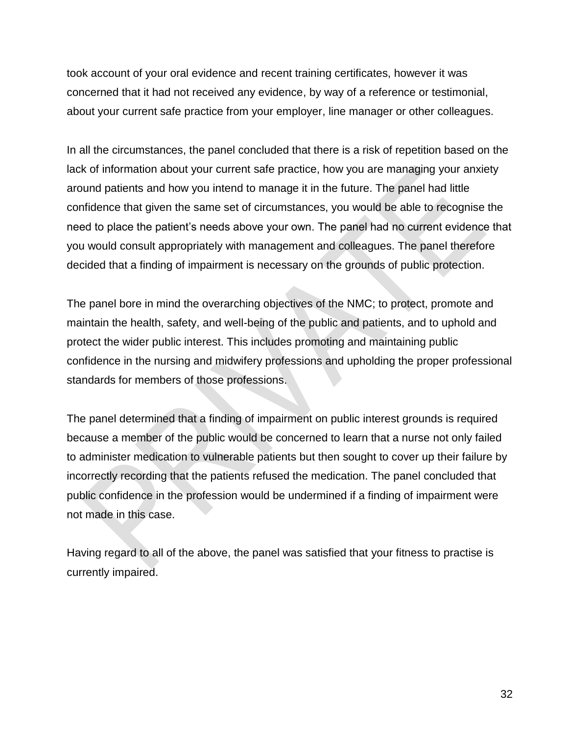took account of your oral evidence and recent training certificates, however it was concerned that it had not received any evidence, by way of a reference or testimonial, about your current safe practice from your employer, line manager or other colleagues.

In all the circumstances, the panel concluded that there is a risk of repetition based on the lack of information about your current safe practice, how you are managing your anxiety around patients and how you intend to manage it in the future. The panel had little confidence that given the same set of circumstances, you would be able to recognise the need to place the patient's needs above your own. The panel had no current evidence that you would consult appropriately with management and colleagues. The panel therefore decided that a finding of impairment is necessary on the grounds of public protection.

The panel bore in mind the overarching objectives of the NMC; to protect, promote and maintain the health, safety, and well-being of the public and patients, and to uphold and protect the wider public interest. This includes promoting and maintaining public confidence in the nursing and midwifery professions and upholding the proper professional standards for members of those professions.

The panel determined that a finding of impairment on public interest grounds is required because a member of the public would be concerned to learn that a nurse not only failed to administer medication to vulnerable patients but then sought to cover up their failure by incorrectly recording that the patients refused the medication. The panel concluded that public confidence in the profession would be undermined if a finding of impairment were not made in this case.

Having regard to all of the above, the panel was satisfied that your fitness to practise is currently impaired.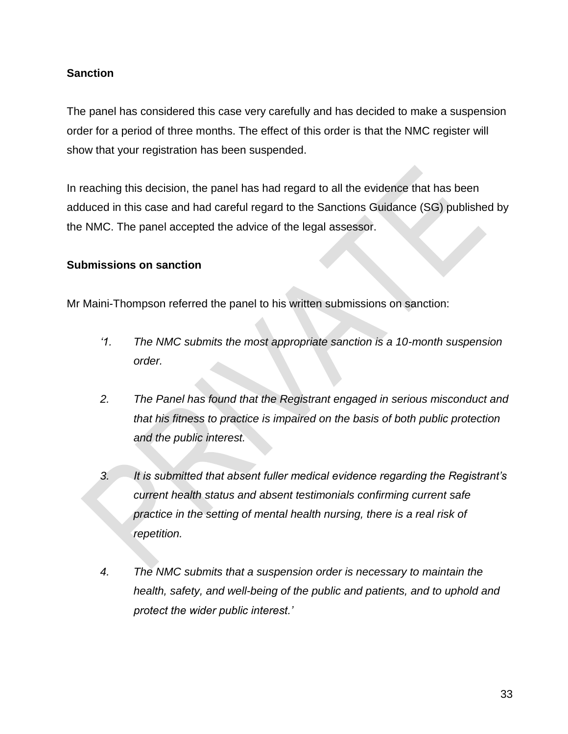### **Sanction**

The panel has considered this case very carefully and has decided to make a suspension order for a period of three months. The effect of this order is that the NMC register will show that your registration has been suspended.

In reaching this decision, the panel has had regard to all the evidence that has been adduced in this case and had careful regard to the Sanctions Guidance (SG) published by the NMC. The panel accepted the advice of the legal assessor.

### **Submissions on sanction**

Mr Maini-Thompson referred the panel to his written submissions on sanction:

- *'1. The NMC submits the most appropriate sanction is a 10-month suspension order.*
- *2. The Panel has found that the Registrant engaged in serious misconduct and that his fitness to practice is impaired on the basis of both public protection and the public interest.*
- *3. It is submitted that absent fuller medical evidence regarding the Registrant's current health status and absent testimonials confirming current safe*  practice in the setting of mental health nursing, there is a real risk of *repetition.*
- *4. The NMC submits that a suspension order is necessary to maintain the health, safety, and well-being of the public and patients, and to uphold and protect the wider public interest.'*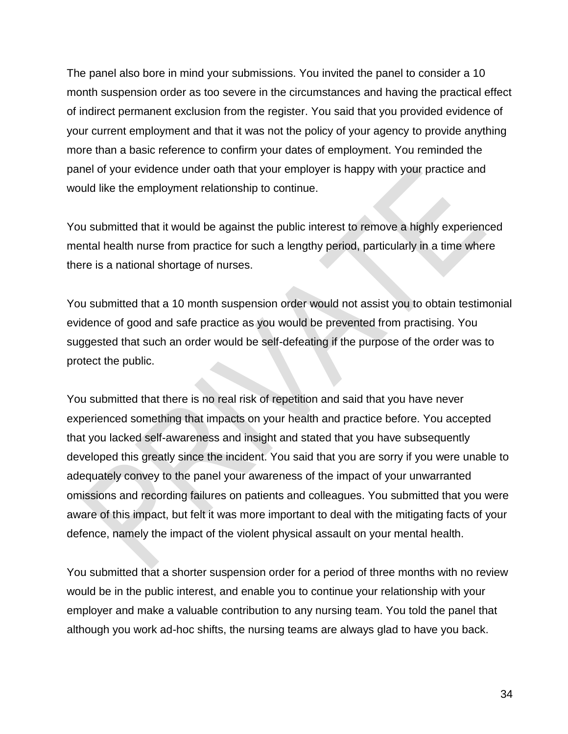The panel also bore in mind your submissions. You invited the panel to consider a 10 month suspension order as too severe in the circumstances and having the practical effect of indirect permanent exclusion from the register. You said that you provided evidence of your current employment and that it was not the policy of your agency to provide anything more than a basic reference to confirm your dates of employment. You reminded the panel of your evidence under oath that your employer is happy with your practice and would like the employment relationship to continue.

You submitted that it would be against the public interest to remove a highly experienced mental health nurse from practice for such a lengthy period, particularly in a time where there is a national shortage of nurses.

You submitted that a 10 month suspension order would not assist you to obtain testimonial evidence of good and safe practice as you would be prevented from practising. You suggested that such an order would be self-defeating if the purpose of the order was to protect the public.

You submitted that there is no real risk of repetition and said that you have never experienced something that impacts on your health and practice before. You accepted that you lacked self-awareness and insight and stated that you have subsequently developed this greatly since the incident. You said that you are sorry if you were unable to adequately convey to the panel your awareness of the impact of your unwarranted omissions and recording failures on patients and colleagues. You submitted that you were aware of this impact, but felt it was more important to deal with the mitigating facts of your defence, namely the impact of the violent physical assault on your mental health.

You submitted that a shorter suspension order for a period of three months with no review would be in the public interest, and enable you to continue your relationship with your employer and make a valuable contribution to any nursing team. You told the panel that although you work ad-hoc shifts, the nursing teams are always glad to have you back.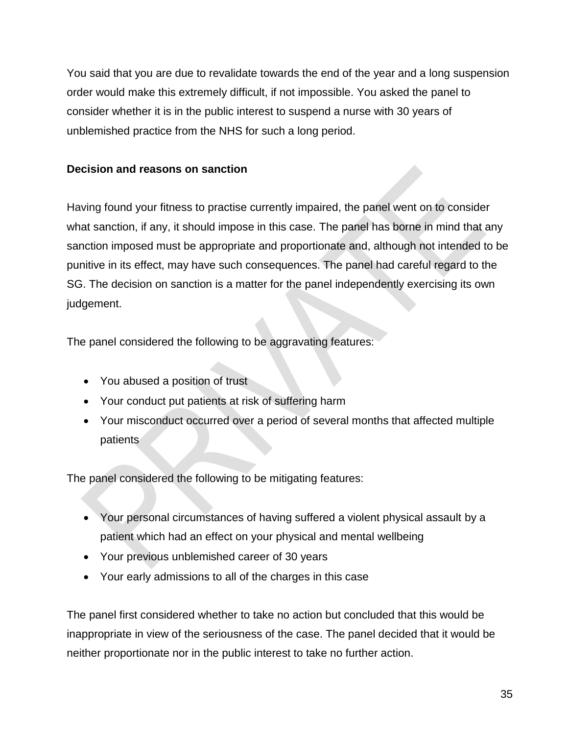You said that you are due to revalidate towards the end of the year and a long suspension order would make this extremely difficult, if not impossible. You asked the panel to consider whether it is in the public interest to suspend a nurse with 30 years of unblemished practice from the NHS for such a long period.

### **Decision and reasons on sanction**

Having found your fitness to practise currently impaired, the panel went on to consider what sanction, if any, it should impose in this case. The panel has borne in mind that any sanction imposed must be appropriate and proportionate and, although not intended to be punitive in its effect, may have such consequences. The panel had careful regard to the SG. The decision on sanction is a matter for the panel independently exercising its own judgement.

The panel considered the following to be aggravating features:

- You abused a position of trust
- Your conduct put patients at risk of suffering harm
- Your misconduct occurred over a period of several months that affected multiple patients

The panel considered the following to be mitigating features:

- Your personal circumstances of having suffered a violent physical assault by a patient which had an effect on your physical and mental wellbeing
- Your previous unblemished career of 30 years
- Your early admissions to all of the charges in this case

The panel first considered whether to take no action but concluded that this would be inappropriate in view of the seriousness of the case. The panel decided that it would be neither proportionate nor in the public interest to take no further action.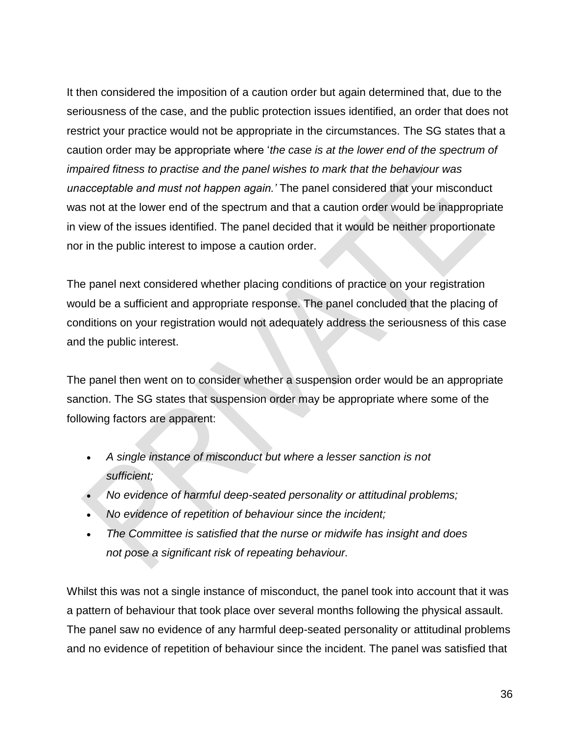It then considered the imposition of a caution order but again determined that, due to the seriousness of the case, and the public protection issues identified, an order that does not restrict your practice would not be appropriate in the circumstances. The SG states that a caution order may be appropriate where '*the case is at the lower end of the spectrum of impaired fitness to practise and the panel wishes to mark that the behaviour was unacceptable and must not happen again.'* The panel considered that your misconduct was not at the lower end of the spectrum and that a caution order would be inappropriate in view of the issues identified. The panel decided that it would be neither proportionate nor in the public interest to impose a caution order.

The panel next considered whether placing conditions of practice on your registration would be a sufficient and appropriate response. The panel concluded that the placing of conditions on your registration would not adequately address the seriousness of this case and the public interest.

The panel then went on to consider whether a suspension order would be an appropriate sanction. The SG states that suspension order may be appropriate where some of the following factors are apparent:

- *A single instance of misconduct but where a lesser sanction is not sufficient;*
- *No evidence of harmful deep-seated personality or attitudinal problems;*
- *No evidence of repetition of behaviour since the incident;*
- *The Committee is satisfied that the nurse or midwife has insight and does not pose a significant risk of repeating behaviour.*

Whilst this was not a single instance of misconduct, the panel took into account that it was a pattern of behaviour that took place over several months following the physical assault. The panel saw no evidence of any harmful deep-seated personality or attitudinal problems and no evidence of repetition of behaviour since the incident. The panel was satisfied that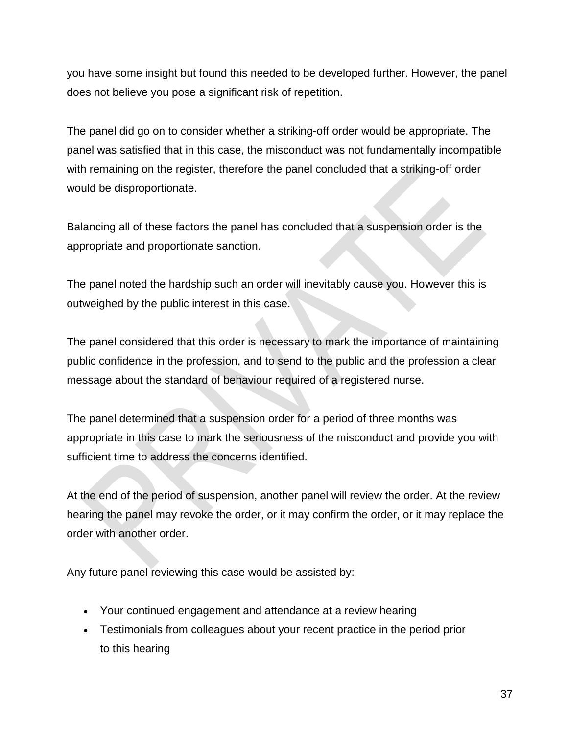you have some insight but found this needed to be developed further. However, the panel does not believe you pose a significant risk of repetition.

The panel did go on to consider whether a striking-off order would be appropriate. The panel was satisfied that in this case, the misconduct was not fundamentally incompatible with remaining on the register, therefore the panel concluded that a striking-off order would be disproportionate.

Balancing all of these factors the panel has concluded that a suspension order is the appropriate and proportionate sanction.

The panel noted the hardship such an order will inevitably cause you. However this is outweighed by the public interest in this case.

The panel considered that this order is necessary to mark the importance of maintaining public confidence in the profession, and to send to the public and the profession a clear message about the standard of behaviour required of a registered nurse.

The panel determined that a suspension order for a period of three months was appropriate in this case to mark the seriousness of the misconduct and provide you with sufficient time to address the concerns identified.

At the end of the period of suspension, another panel will review the order. At the review hearing the panel may revoke the order, or it may confirm the order, or it may replace the order with another order.

Any future panel reviewing this case would be assisted by:

- Your continued engagement and attendance at a review hearing
- Testimonials from colleagues about your recent practice in the period prior to this hearing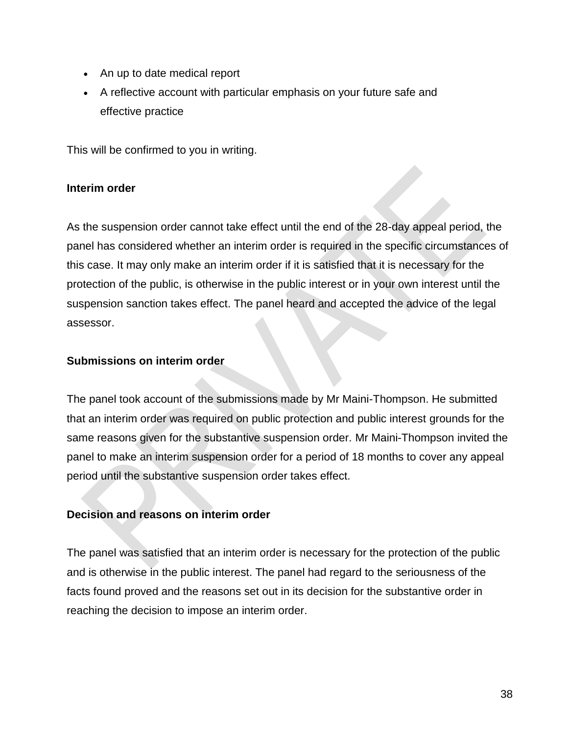- An up to date medical report
- A reflective account with particular emphasis on your future safe and effective practice

This will be confirmed to you in writing.

### **Interim order**

As the suspension order cannot take effect until the end of the 28-day appeal period, the panel has considered whether an interim order is required in the specific circumstances of this case. It may only make an interim order if it is satisfied that it is necessary for the protection of the public, is otherwise in the public interest or in your own interest until the suspension sanction takes effect. The panel heard and accepted the advice of the legal assessor.

### **Submissions on interim order**

The panel took account of the submissions made by Mr Maini-Thompson. He submitted that an interim order was required on public protection and public interest grounds for the same reasons given for the substantive suspension order. Mr Maini-Thompson invited the panel to make an interim suspension order for a period of 18 months to cover any appeal period until the substantive suspension order takes effect.

### **Decision and reasons on interim order**

The panel was satisfied that an interim order is necessary for the protection of the public and is otherwise in the public interest. The panel had regard to the seriousness of the facts found proved and the reasons set out in its decision for the substantive order in reaching the decision to impose an interim order.